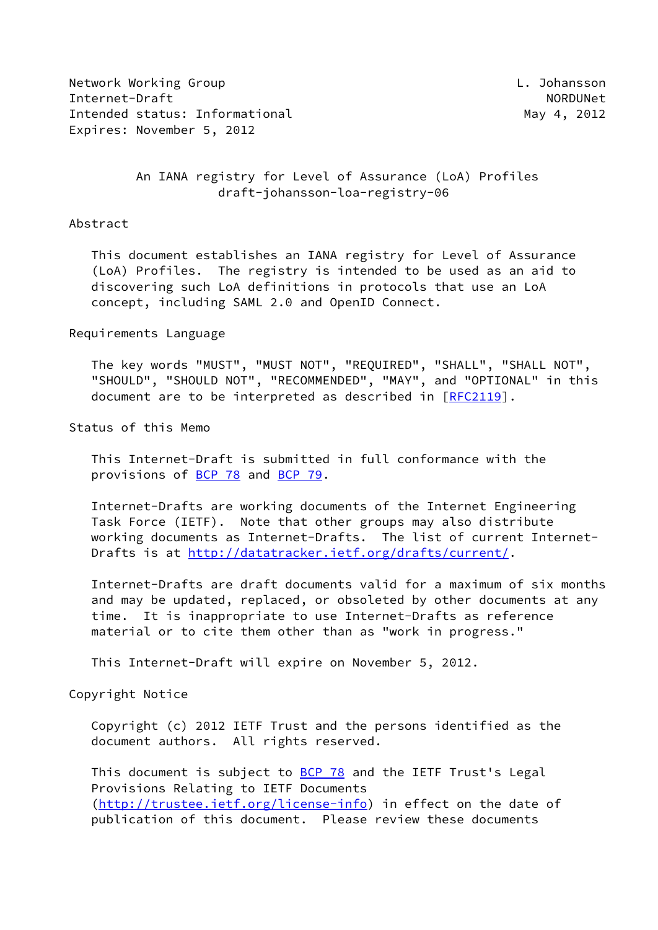Network Working Group **Letter Controller Controller Controller** L. Johansson Internet-Draft North North North North North North North North North North North North North North North North North North North North North North North North North North North North North North North North North North Nor Intended status: Informational May 4, 2012 Expires: November 5, 2012

## An IANA registry for Level of Assurance (LoA) Profiles draft-johansson-loa-registry-06

#### Abstract

 This document establishes an IANA registry for Level of Assurance (LoA) Profiles. The registry is intended to be used as an aid to discovering such LoA definitions in protocols that use an LoA concept, including SAML 2.0 and OpenID Connect.

Requirements Language

 The key words "MUST", "MUST NOT", "REQUIRED", "SHALL", "SHALL NOT", "SHOULD", "SHOULD NOT", "RECOMMENDED", "MAY", and "OPTIONAL" in this document are to be interpreted as described in [\[RFC2119](https://datatracker.ietf.org/doc/pdf/rfc2119)].

Status of this Memo

 This Internet-Draft is submitted in full conformance with the provisions of [BCP 78](https://datatracker.ietf.org/doc/pdf/bcp78) and [BCP 79](https://datatracker.ietf.org/doc/pdf/bcp79).

 Internet-Drafts are working documents of the Internet Engineering Task Force (IETF). Note that other groups may also distribute working documents as Internet-Drafts. The list of current Internet- Drafts is at<http://datatracker.ietf.org/drafts/current/>.

 Internet-Drafts are draft documents valid for a maximum of six months and may be updated, replaced, or obsoleted by other documents at any time. It is inappropriate to use Internet-Drafts as reference material or to cite them other than as "work in progress."

This Internet-Draft will expire on November 5, 2012.

Copyright Notice

 Copyright (c) 2012 IETF Trust and the persons identified as the document authors. All rights reserved.

This document is subject to **[BCP 78](https://datatracker.ietf.org/doc/pdf/bcp78)** and the IETF Trust's Legal Provisions Relating to IETF Documents [\(http://trustee.ietf.org/license-info](http://trustee.ietf.org/license-info)) in effect on the date of publication of this document. Please review these documents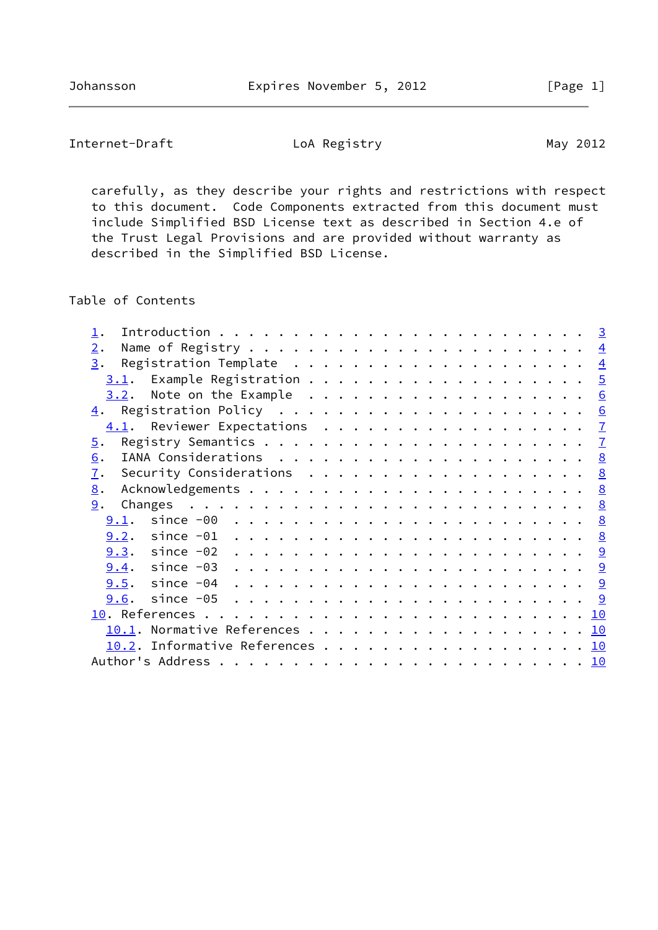Internet-Draft LoA Registry Loam May 2012

 carefully, as they describe your rights and restrictions with respect to this document. Code Components extracted from this document must include Simplified BSD License text as described in Section 4.e of the Trust Legal Provisions and are provided without warranty as described in the Simplified BSD License.

Table of Contents

| 2.                                                                                                                                                                                                                                                                                                                                                                                                                                                                             |                |
|--------------------------------------------------------------------------------------------------------------------------------------------------------------------------------------------------------------------------------------------------------------------------------------------------------------------------------------------------------------------------------------------------------------------------------------------------------------------------------|----------------|
| 3.                                                                                                                                                                                                                                                                                                                                                                                                                                                                             | $\overline{4}$ |
| 3.1.                                                                                                                                                                                                                                                                                                                                                                                                                                                                           | $\overline{5}$ |
|                                                                                                                                                                                                                                                                                                                                                                                                                                                                                | 6              |
|                                                                                                                                                                                                                                                                                                                                                                                                                                                                                | 6              |
| 4.1. Reviewer Expectations                                                                                                                                                                                                                                                                                                                                                                                                                                                     | $\mathbf{I}$   |
| $\overline{5}$ .                                                                                                                                                                                                                                                                                                                                                                                                                                                               | $\mathcal{I}$  |
| 6.                                                                                                                                                                                                                                                                                                                                                                                                                                                                             | <u>8</u>       |
| 7.                                                                                                                                                                                                                                                                                                                                                                                                                                                                             | 8              |
| 8.                                                                                                                                                                                                                                                                                                                                                                                                                                                                             | 8              |
| 9.                                                                                                                                                                                                                                                                                                                                                                                                                                                                             | 8              |
| since -00<br>9.1.<br>$\mathbf{r}^{\prime}=\mathbf{r}^{\prime}=\mathbf{r}^{\prime}=\mathbf{r}^{\prime}=\mathbf{r}^{\prime}=\mathbf{r}^{\prime}=\mathbf{r}^{\prime}=\mathbf{r}^{\prime}=\mathbf{r}^{\prime}=\mathbf{r}^{\prime}=\mathbf{r}^{\prime}=\mathbf{r}^{\prime}=\mathbf{r}^{\prime}=\mathbf{r}^{\prime}=\mathbf{r}^{\prime}=\mathbf{r}^{\prime}=\mathbf{r}^{\prime}=\mathbf{r}^{\prime}=\mathbf{r}^{\prime}=\mathbf{r}^{\prime}=\mathbf{r}^{\prime}=\mathbf{r}^{\prime}$ | <u>8</u>       |
|                                                                                                                                                                                                                                                                                                                                                                                                                                                                                | 8              |
|                                                                                                                                                                                                                                                                                                                                                                                                                                                                                |                |
|                                                                                                                                                                                                                                                                                                                                                                                                                                                                                |                |
|                                                                                                                                                                                                                                                                                                                                                                                                                                                                                |                |
|                                                                                                                                                                                                                                                                                                                                                                                                                                                                                |                |
|                                                                                                                                                                                                                                                                                                                                                                                                                                                                                |                |
|                                                                                                                                                                                                                                                                                                                                                                                                                                                                                | <u> 10</u>     |
|                                                                                                                                                                                                                                                                                                                                                                                                                                                                                | <u> 10</u>     |
|                                                                                                                                                                                                                                                                                                                                                                                                                                                                                |                |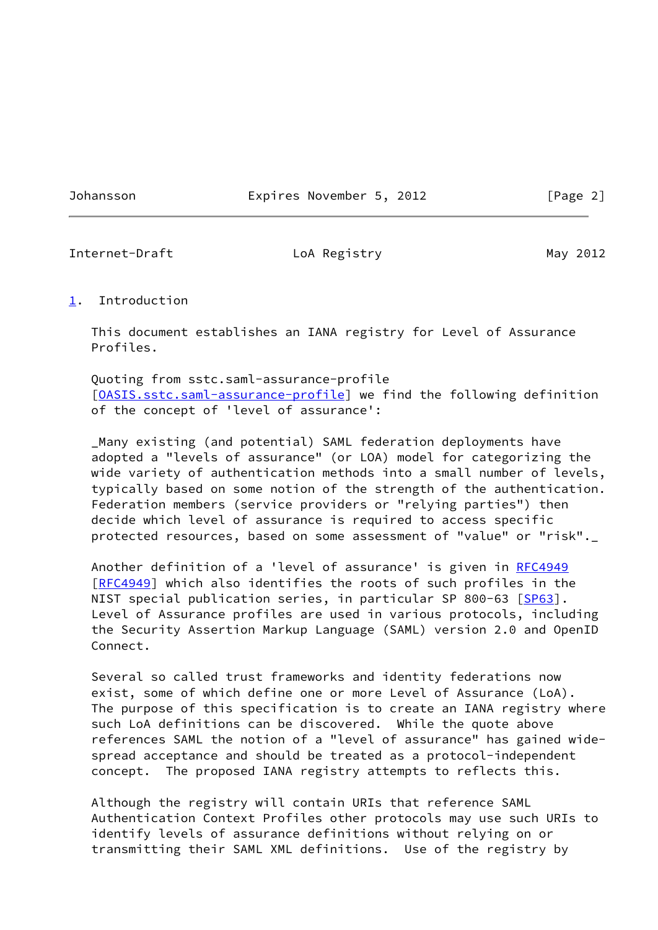Johansson Expires November 5, 2012 [Page 2]

<span id="page-2-1"></span>Internet-Draft LoA Registry Loam May 2012

#### <span id="page-2-0"></span>[1](#page-2-0). Introduction

 This document establishes an IANA registry for Level of Assurance Profiles.

 Quoting from sstc.saml-assurance-profile [\[OASIS.sstc.saml-assurance-profile](#page-10-4)] we find the following definition of the concept of 'level of assurance':

 \_Many existing (and potential) SAML federation deployments have adopted a "levels of assurance" (or LOA) model for categorizing the wide variety of authentication methods into a small number of levels, typically based on some notion of the strength of the authentication. Federation members (service providers or "relying parties") then decide which level of assurance is required to access specific protected resources, based on some assessment of "value" or "risk".\_

 Another definition of a 'level of assurance' is given in [RFC4949](https://datatracker.ietf.org/doc/pdf/rfc4949) [\[RFC4949](https://datatracker.ietf.org/doc/pdf/rfc4949)] which also identifies the roots of such profiles in the NIST special publication series, in particular SP 800-63 [\[SP63](#page-10-5)]. Level of Assurance profiles are used in various protocols, including the Security Assertion Markup Language (SAML) version 2.0 and OpenID Connect.

 Several so called trust frameworks and identity federations now exist, some of which define one or more Level of Assurance (LoA). The purpose of this specification is to create an IANA registry where such LoA definitions can be discovered. While the quote above references SAML the notion of a "level of assurance" has gained wide spread acceptance and should be treated as a protocol-independent concept. The proposed IANA registry attempts to reflects this.

 Although the registry will contain URIs that reference SAML Authentication Context Profiles other protocols may use such URIs to identify levels of assurance definitions without relying on or transmitting their SAML XML definitions. Use of the registry by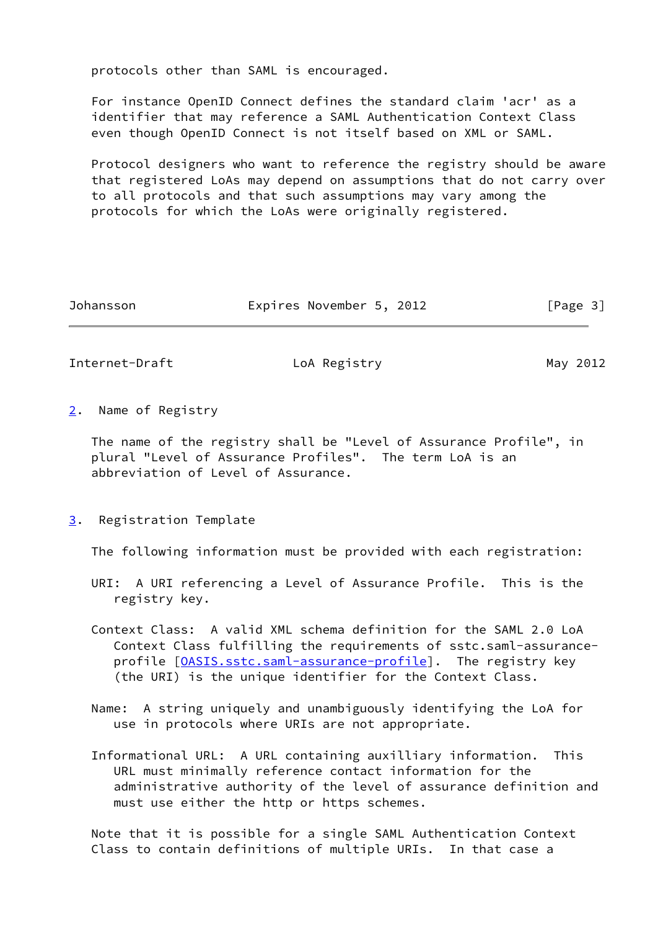protocols other than SAML is encouraged.

 For instance OpenID Connect defines the standard claim 'acr' as a identifier that may reference a SAML Authentication Context Class even though OpenID Connect is not itself based on XML or SAML.

 Protocol designers who want to reference the registry should be aware that registered LoAs may depend on assumptions that do not carry over to all protocols and that such assumptions may vary among the protocols for which the LoAs were originally registered.

| Johansson |  | Expires November 5, 2012 |  |  |  | [Page 3] |  |
|-----------|--|--------------------------|--|--|--|----------|--|
|-----------|--|--------------------------|--|--|--|----------|--|

<span id="page-3-1"></span>Internet-Draft LoA Registry Loamer May 2012

<span id="page-3-0"></span>[2](#page-3-0). Name of Registry

 The name of the registry shall be "Level of Assurance Profile", in plural "Level of Assurance Profiles". The term LoA is an abbreviation of Level of Assurance.

<span id="page-3-2"></span>[3](#page-3-2). Registration Template

The following information must be provided with each registration:

- URI: A URI referencing a Level of Assurance Profile. This is the registry key.
- Context Class: A valid XML schema definition for the SAML 2.0 LoA Context Class fulfilling the requirements of sstc.saml-assurance- profile [[OASIS.sstc.saml-assurance-profile\]](#page-10-4). The registry key (the URI) is the unique identifier for the Context Class.
- Name: A string uniquely and unambiguously identifying the LoA for use in protocols where URIs are not appropriate.
- Informational URL: A URL containing auxilliary information. This URL must minimally reference contact information for the administrative authority of the level of assurance definition and must use either the http or https schemes.

 Note that it is possible for a single SAML Authentication Context Class to contain definitions of multiple URIs. In that case a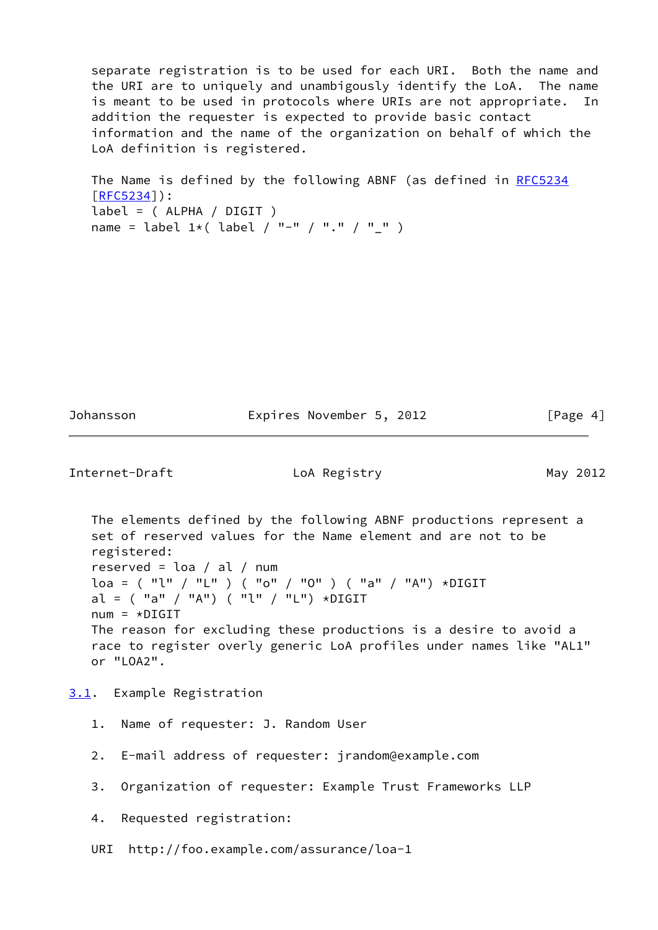separate registration is to be used for each URI. Both the name and the URI are to uniquely and unambigously identify the LoA. The name is meant to be used in protocols where URIs are not appropriate. In addition the requester is expected to provide basic contact information and the name of the organization on behalf of which the LoA definition is registered.

The Name is defined by the following ABNF (as defined in [RFC5234](https://datatracker.ietf.org/doc/pdf/rfc5234) [\[RFC5234](https://datatracker.ietf.org/doc/pdf/rfc5234)]): label = ( ALPHA / DIGIT ) name = label  $1*($  label / "-" / "." / "\_" )

Johansson Expires November 5, 2012 [Page 4]

<span id="page-4-1"></span>Internet-Draft LoA Registry Loamer May 2012

 The elements defined by the following ABNF productions represent a set of reserved values for the Name element and are not to be registered: reserved = loa / al / num  $\log = ($  "l" / "L" ) ( "o" / "O" ) ( "a" / "A") \*DIGIT al =  $('''a'' /''A'') ('''l'' /''L'') *DIGIT$  $num = *DIGIT$  The reason for excluding these productions is a desire to avoid a race to register overly generic LoA profiles under names like "AL1" or "LOA2".

<span id="page-4-0"></span>[3.1](#page-4-0). Example Registration

- 1. Name of requester: J. Random User
- 2. E-mail address of requester: jrandom@example.com
- 3. Organization of requester: Example Trust Frameworks LLP

4. Requested registration:

URI http://foo.example.com/assurance/loa-1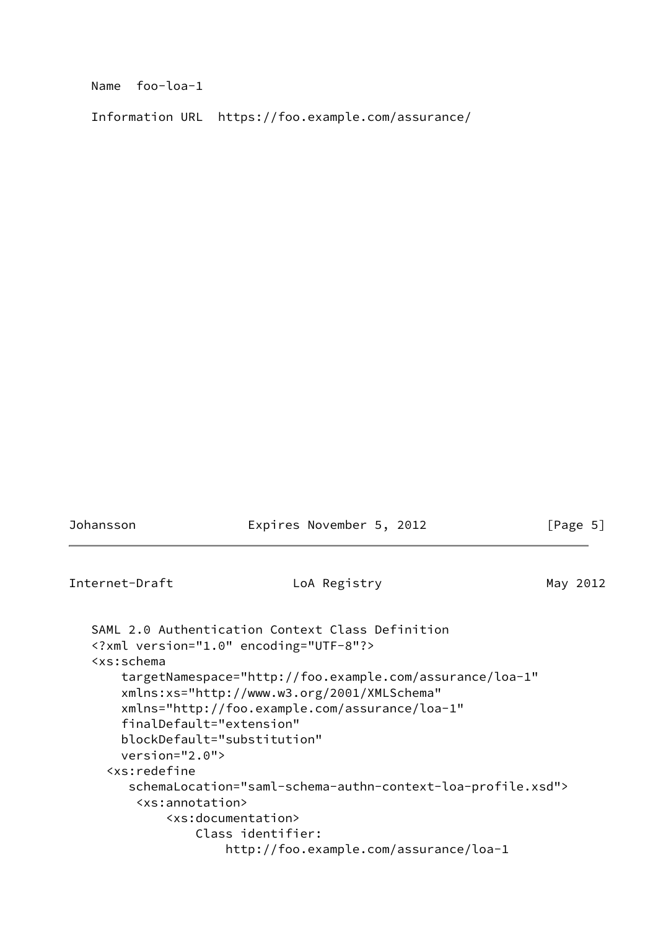Name foo-loa-1

Information URL https://foo.example.com/assurance/

<span id="page-5-0"></span>

| Johansson                                                                                                                    | Expires November 5, 2012                                                                                                                                                                                                                                                                                                                                                                                                | [Page 5] |
|------------------------------------------------------------------------------------------------------------------------------|-------------------------------------------------------------------------------------------------------------------------------------------------------------------------------------------------------------------------------------------------------------------------------------------------------------------------------------------------------------------------------------------------------------------------|----------|
| Internet-Draft                                                                                                               | LoA Registry                                                                                                                                                                                                                                                                                                                                                                                                            | May 2012 |
| <xs:schema<br><math>version="2.0"</math><br/><xs:redefine<br><xs:annotation></xs:annotation></xs:redefine<br></xs:schema<br> | SAML 2.0 Authentication Context Class Definition<br>xml version="1.0" encoding="UTF-8"?<br>targetNamespace="http://foo.example.com/assurance/loa-1"<br>xmlns:xs="http://www.w3.org/2001/XMLSchema"<br>xmlns="http://foo.example.com/assurance/loa-1"<br>finalDefault="extension"<br>blockDefault="substitution"<br>schemaLocation="saml-schema-authn-context-loa-profile.xsd"><br><xs:documentation></xs:documentation> |          |
|                                                                                                                              | Class identifier:<br>http://foo.example.com/assurance/loa-1                                                                                                                                                                                                                                                                                                                                                             |          |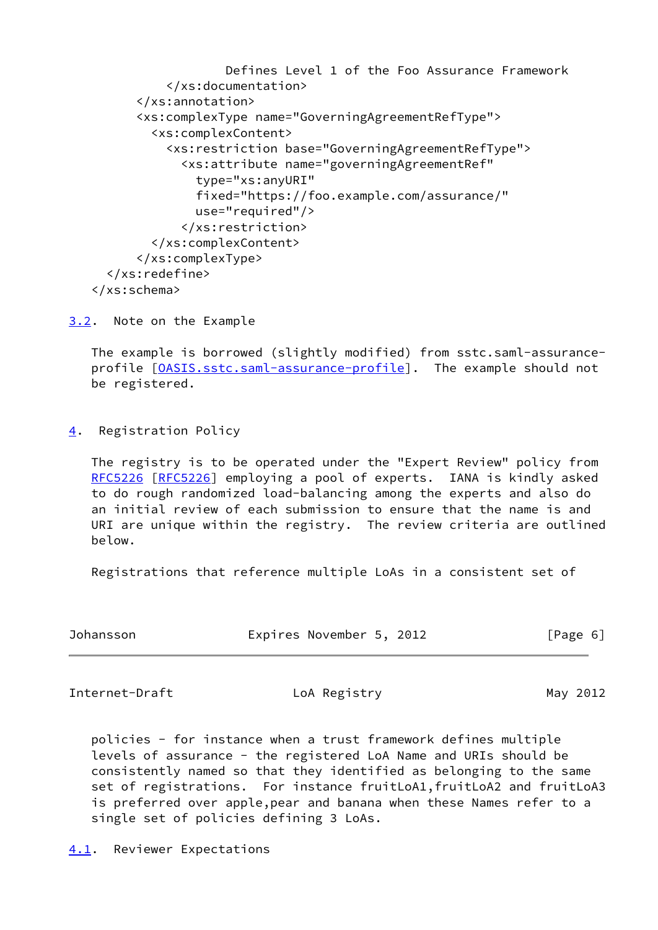```
 Defines Level 1 of the Foo Assurance Framework
          </xs:documentation>
      </xs:annotation>
      <xs:complexType name="GoverningAgreementRefType">
        <xs:complexContent>
          <xs:restriction base="GoverningAgreementRefType">
             <xs:attribute name="governingAgreementRef"
              type="xs:anyURI"
              fixed="https://foo.example.com/assurance/"
              use="required"/>
            </xs:restriction>
        </xs:complexContent>
      </xs:complexType>
  </xs:redefine>
</xs:schema>
```
<span id="page-6-0"></span>[3.2](#page-6-0). Note on the Example

 The example is borrowed (slightly modified) from sstc.saml-assurance profile [\[OASIS.sstc.saml-assurance-profile](#page-10-4)]. The example should not be registered.

<span id="page-6-1"></span>[4](#page-6-1). Registration Policy

 The registry is to be operated under the "Expert Review" policy from [RFC5226](https://datatracker.ietf.org/doc/pdf/rfc5226) [\[RFC5226](https://datatracker.ietf.org/doc/pdf/rfc5226)] employing a pool of experts. IANA is kindly asked to do rough randomized load-balancing among the experts and also do an initial review of each submission to ensure that the name is and URI are unique within the registry. The review criteria are outlined below.

Registrations that reference multiple LoAs in a consistent set of

| Johansson | Expires November 5, 2012 |  | [Page 6] |
|-----------|--------------------------|--|----------|
|-----------|--------------------------|--|----------|

<span id="page-6-3"></span>Internet-Draft LoA Registry Loamer May 2012

 policies - for instance when a trust framework defines multiple levels of assurance - the registered LoA Name and URIs should be consistently named so that they identified as belonging to the same set of registrations. For instance fruitLoA1,fruitLoA2 and fruitLoA3 is preferred over apple,pear and banana when these Names refer to a single set of policies defining 3 LoAs.

<span id="page-6-2"></span>[4.1](#page-6-2). Reviewer Expectations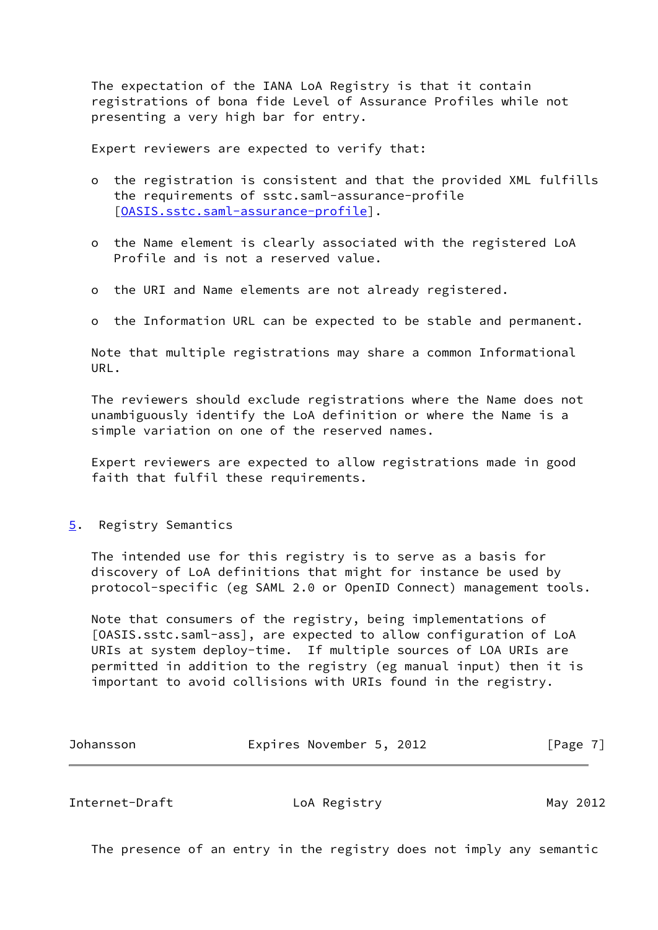The expectation of the IANA LoA Registry is that it contain registrations of bona fide Level of Assurance Profiles while not presenting a very high bar for entry.

Expert reviewers are expected to verify that:

- o the registration is consistent and that the provided XML fulfills the requirements of sstc.saml-assurance-profile [[OASIS.sstc.saml-assurance-profile\]](#page-10-4).
- o the Name element is clearly associated with the registered LoA Profile and is not a reserved value.
- o the URI and Name elements are not already registered.
- o the Information URL can be expected to be stable and permanent.

 Note that multiple registrations may share a common Informational URL.

 The reviewers should exclude registrations where the Name does not unambiguously identify the LoA definition or where the Name is a simple variation on one of the reserved names.

 Expert reviewers are expected to allow registrations made in good faith that fulfil these requirements.

<span id="page-7-0"></span>[5](#page-7-0). Registry Semantics

 The intended use for this registry is to serve as a basis for discovery of LoA definitions that might for instance be used by protocol-specific (eg SAML 2.0 or OpenID Connect) management tools.

 Note that consumers of the registry, being implementations of [OASIS.sstc.saml-ass], are expected to allow configuration of LoA URIs at system deploy-time. If multiple sources of LOA URIs are permitted in addition to the registry (eg manual input) then it is important to avoid collisions with URIs found in the registry.

| Johansson | Expires November 5, 2012 |  | [Page 7] |  |
|-----------|--------------------------|--|----------|--|
|           |                          |  |          |  |

<span id="page-7-1"></span>Internet-Draft LoA Registry Loam May 2012

The presence of an entry in the registry does not imply any semantic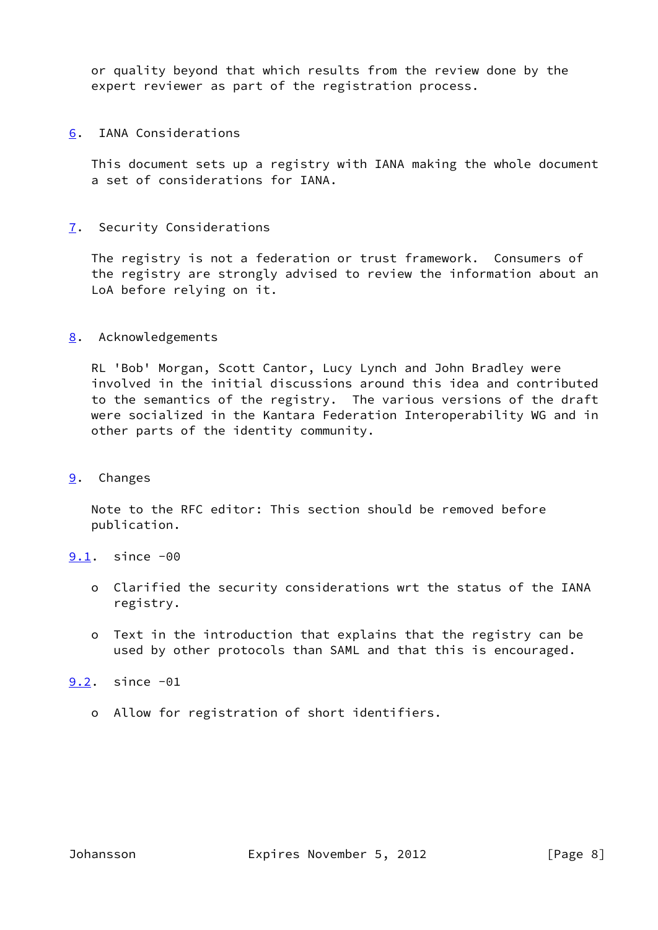or quality beyond that which results from the review done by the expert reviewer as part of the registration process.

<span id="page-8-0"></span>[6](#page-8-0). IANA Considerations

 This document sets up a registry with IANA making the whole document a set of considerations for IANA.

<span id="page-8-1"></span>[7](#page-8-1). Security Considerations

 The registry is not a federation or trust framework. Consumers of the registry are strongly advised to review the information about an LoA before relying on it.

<span id="page-8-2"></span>[8](#page-8-2). Acknowledgements

 RL 'Bob' Morgan, Scott Cantor, Lucy Lynch and John Bradley were involved in the initial discussions around this idea and contributed to the semantics of the registry. The various versions of the draft were socialized in the Kantara Federation Interoperability WG and in other parts of the identity community.

<span id="page-8-3"></span>[9](#page-8-3). Changes

 Note to the RFC editor: This section should be removed before publication.

- <span id="page-8-4"></span>[9.1](#page-8-4). since -00
	- o Clarified the security considerations wrt the status of the IANA registry.
	- o Text in the introduction that explains that the registry can be used by other protocols than SAML and that this is encouraged.

<span id="page-8-5"></span>[9.2](#page-8-5). since -01

o Allow for registration of short identifiers.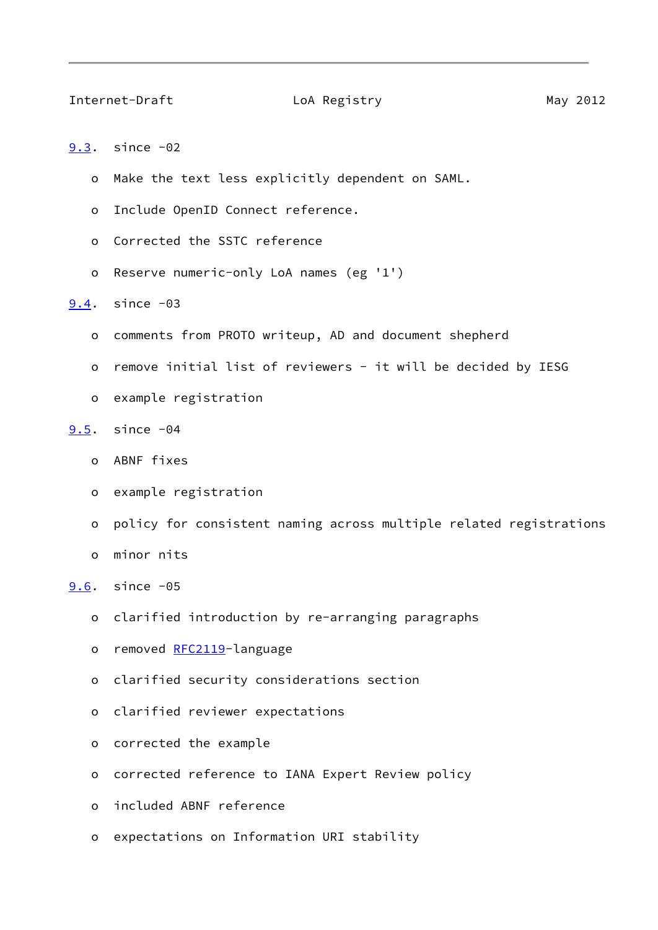#### <span id="page-9-1"></span>Internet-Draft LoA Registry Loam Hotel May 2012

```
9.3. since -02
```
- o Make the text less explicitly dependent on SAML.
- o Include OpenID Connect reference.
- o Corrected the SSTC reference
- o Reserve numeric-only LoA names (eg '1')

### <span id="page-9-2"></span>[9.4](#page-9-2). since -03

- o comments from PROTO writeup, AD and document shepherd
- o remove initial list of reviewers it will be decided by IESG
- o example registration

# <span id="page-9-3"></span>[9.5](#page-9-3). since -04

- o ABNF fixes
- o example registration
- o policy for consistent naming across multiple related registrations
- o minor nits

<span id="page-9-4"></span>[9.6](#page-9-4). since -05

- o clarified introduction by re-arranging paragraphs
- o removed [RFC2119](https://datatracker.ietf.org/doc/pdf/rfc2119)-language
- o clarified security considerations section
- o clarified reviewer expectations
- o corrected the example
- o corrected reference to IANA Expert Review policy
- o included ABNF reference
- o expectations on Information URI stability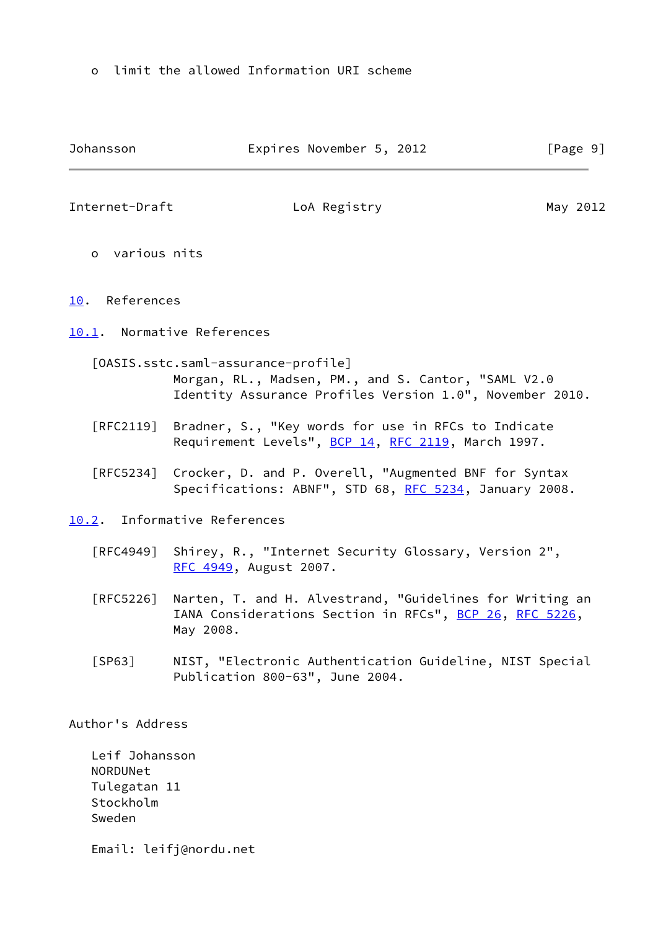o limit the allowed Information URI scheme

<span id="page-10-4"></span><span id="page-10-2"></span><span id="page-10-1"></span><span id="page-10-0"></span>

| Johansson                        | Expires November 5, 2012                                                                                                                               | [Page 9] |  |
|----------------------------------|--------------------------------------------------------------------------------------------------------------------------------------------------------|----------|--|
| Internet-Draft                   | LoA Registry                                                                                                                                           | May 2012 |  |
| o various nits                   |                                                                                                                                                        |          |  |
| 10. References                   |                                                                                                                                                        |          |  |
|                                  | 10.1. Normative References                                                                                                                             |          |  |
|                                  | [OASIS.sstc.saml-assurance-profile]<br>Morgan, RL., Madsen, PM., and S. Cantor, "SAML V2.0<br>Identity Assurance Profiles Version 1.0", November 2010. |          |  |
| $\lceil \mathsf{RFC2119} \rceil$ | Bradner, S., "Key words for use in RFCs to Indicate<br>Requirement Levels", BCP 14, RFC 2119, March 1997.                                              |          |  |
|                                  | [RFC5234] Crocker, D. and P. Overell, "Augmented BNF for Syntax<br>Specifications: ABNF", STD 68, RFC 5234, January 2008.                              |          |  |
|                                  | 10.2. Informative References                                                                                                                           |          |  |
|                                  | [RFC4949] Shirey, R., "Internet Security Glossary, Version 2",<br>RFC 4949, August 2007.                                                               |          |  |
| [RFC5226]                        | Narten, T. and H. Alvestrand, "Guidelines for Writing an<br>IANA Considerations Section in RFCs", BCP 26, RFC 5226,<br>May 2008.                       |          |  |
| [SP63]                           | NIST, "Electronic Authentication Guideline, NIST Special<br>Publication 800-63", June 2004.                                                            |          |  |
| Author's Address                 |                                                                                                                                                        |          |  |

<span id="page-10-5"></span><span id="page-10-3"></span> Leif Johansson NORDUNet Tulegatan 11 Stockholm Sweden

Email: leifj@nordu.net